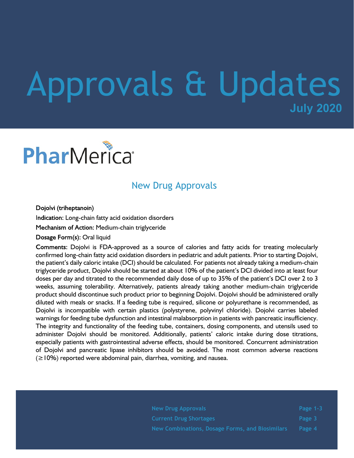## **July 2020** Approvals & Updates

# PharMerica®

## New Drug Approvals

Dojolvi (triheptanoin)

Indication: Long-chain fatty acid oxidation disorders

Mechanism of Action: Medium-chain triglyceride

Dosage Form(s): Oral liquid

Comments: Dojolvi is FDA-approved as a source of calories and fatty acids for treating molecularly confirmed long-chain fatty acid oxidation disorders in pediatric and adult patients. Prior to starting Dojolvi, the patient's daily caloric intake (DCI) should be calculated. For patients not already taking a medium-chain triglyceride product, Dojolvi should be started at about 10% of the patient's DCI divided into at least four doses per day and titrated to the recommended daily dose of up to 35% of the patient's DCI over 2 to 3 weeks, assuming tolerability. Alternatively, patients already taking another medium-chain triglyceride product should discontinue such product prior to beginning Dojolvi. Dojolvi should be administered orally diluted with meals or snacks. If a feeding tube is required, silicone or polyurethane is recommended, as Dojolvi is incompatible with certain plastics (polystyrene, polyvinyl chloride). Dojolvi carries labeled warnings for feeding tube dysfunction and intestinal malabsorption in patients with pancreatic insufficiency. The integrity and functionality of the feeding tube, containers, dosing components, and utensils used to administer Dojolvi should be monitored. Additionally, patients' caloric intake during dose titrations, especially patients with gastrointestinal adverse effects, should be monitored. Concurrent administration of Dojolvi and pancreatic lipase inhibitors should be avoided. The most common adverse reactions  $(\geq 10\%)$  reported were abdominal pain, diarrhea, vomiting, and nausea.

| <b>New Drug Approvals</b>                       | Page 1-3 |
|-------------------------------------------------|----------|
| <b>Current Drug Shortages</b>                   | Page 3   |
| New Combinations, Dosage Forms, and Biosimilars | Page 4   |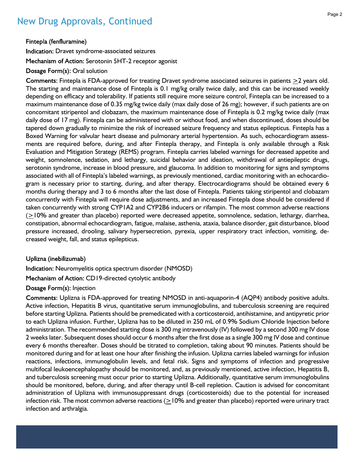## New Drug Approvals, Continued

Fintepla (fenfluramine)

Indication: Dravet syndrome-associated seizures

Mechanism of Action: Serotonin 5HT-2 receptor agonist

Dosage Form(s): Oral solution

Comments: Fintepla is FDA-approved for treating Dravet syndrome associated seizures in patients  $\geq$ 2 years old. The starting and maintenance dose of Fintepla is 0.1 mg/kg orally twice daily, and this can be increased weekly depending on efficacy and tolerability. If patients still require more seizure control, Fintepla can be increased to a maximum maintenance dose of 0.35 mg/kg twice daily (max daily dose of 26 mg); however, if such patients are on concomitant stiripentol and clobazam, the maximum maintenance dose of Fintepla is 0.2 mg/kg twice daily (max daily dose of 17 mg). Fintepla can be administered with or without food, and when discontinued, doses should be tapered down gradually to minimize the risk of increased seizure frequency and status epilepticus. Fintepla has a Boxed Warning for valvular heart disease and pulmonary arterial hypertension. As such, echocardiogram assessments are required before, during, and after Fintepla therapy, and Fintepla is only available through a Risk Evaluation and Mitigation Strategy (REMS) program. Fintepla carries labeled warnings for decreased appetite and weight, somnolence, sedation, and lethargy, suicidal behavior and ideation, withdrawal of antiepileptic drugs, serotonin syndrome, increase in blood pressure, and glaucoma. In addition to monitoring for signs and symptoms associated with all of Fintepla's labeled warnings, as previously mentioned, cardiac monitoring with an echocardiogram is necessary prior to starting, during, and after therapy. Electrocardiograms should be obtained every 6 months during therapy and 3 to 6 months after the last dose of Fintepla. Patients taking stiripentol and clobazam concurrently with Fintepla will require dose adjustments, and an increased Fintepla dose should be considered if taken concurrently with strong CYP1A2 and CYP2B6 inducers or rifampin. The most common adverse reactions  $(>=10\%$  and greater than placebo) reported were decreased appetite, somnolence, sedation, lethargy, diarrhea, constipation, abnormal echocardiogram, fatigue, malaise, asthenia, ataxia, balance disorder, gait disturbance, blood pressure increased, drooling, salivary hypersecretion, pyrexia, upper respiratory tract infection, vomiting, decreased weight, fall, and status epilepticus.

#### Uplizna (inebilizumab)

Indication: Neuromyelitis optica spectrum disorder (NMOSD)

Mechanism of Action: CD19-directed cytolytic antibody

Dosage Form(s): Injection

Comments: Uplizna is FDA-approved for treating NMOSD in anti-aquaporin-4 (AQP4) antibody positive adults. Active infection, Hepatitis B virus, quantitative serum immunoglobulins, and tuberculosis screening are required before starting Uplizna. Patients should be premedicated with a corticosteroid, antihistamine, and antipyretic prior to each Uplizna infusion. Further, Uplizna has to be diluted in 250 mL of 0.9% Sodium Chloride Injection before administration. The recommended starting dose is 300 mg intravenously (IV) followed by a second 300 mg IV dose 2 weeks later. Subsequent doses should occur 6 months after the first dose as a single 300 mg IV dose and continue every 6 months thereafter. Doses should be titrated to completion, taking about 90 minutes. Patients should be monitored during and for at least one hour after finishing the infusion. Uplizna carries labeled warnings for infusion reactions, infections, immunoglobulin levels, and fetal risk. Signs and symptoms of infection and progressive multifocal leukoencephalopathy should be monitored, and, as previously mentioned, active infection, Hepatitis B, and tuberculosis screening must occur prior to starting Uplizna. Additionally, quantitative serum immunoglobulins should be monitored, before, during, and after therapy until B-cell repletion. Caution is advised for concomitant administration of Uplizna with immunosuppressant drugs (corticosteroids) due to the potential for increased infection risk. The most common adverse reactions (>10% and greater than placebo) reported were urinary tract infection and arthralgia.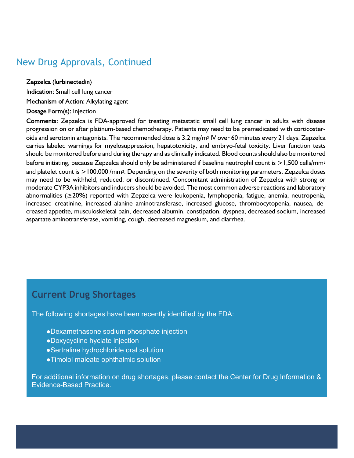## New Drug Approvals, Continued

Zepzelca (lurbinectedin)

Indication: Small cell lung cancer Mechanism of Action: Alkylating agent

#### Dosage Form(s): Injection

Comments: Zepzelca is FDA-approved for treating metastatic small cell lung cancer in adults with disease progression on or after platinum-based chemotherapy. Patients may need to be premedicated with corticosteroids and serotonin antagonists. The recommended dose is  $3.2$  mg/m<sup>2</sup> IV over 60 minutes every 21 days. Zepzelca carries labeled warnings for myelosuppression, hepatotoxicity, and embryo-fetal toxicity. Liver function tests should be monitored before and during therapy and as clinically indicated. Blood counts should also be monitored before initiating, because Zepzelca should only be administered if baseline neutrophil count is >1,500 cells/mm<sup>3</sup> and platelet count is  $\geq$ 100,000 /mm<sup>3</sup>. Depending on the severity of both monitoring parameters, Zepzelca doses may need to be withheld, reduced, or discontinued. Concomitant administration of Zepzelca with strong or moderate CYP3A inhibitors and inducers should be avoided. The most common adverse reactions and laboratory abnormalities (≥20%) reported with Zepzelca were leukopenia, lymphopenia, fatigue, anemia, neutropenia, increased creatinine, increased alanine aminotransferase, increased glucose, thrombocytopenia, nausea, decreased appetite, musculoskeletal pain, decreased albumin, constipation, dyspnea, decreased sodium, increased aspartate aminotransferase, vomiting, cough, decreased magnesium, and diarrhea.

### **Current Drug Shortages**

The following shortages have been recently identified by the FDA:

- ●Dexamethasone sodium phosphate injection
- ●Doxycycline hyclate injection
- ●Sertraline hydrochloride oral solution
- ●Timolol maleate ophthalmic solution

For additional information on drug shortages, please contact the Center for Drug Information & Evidence-Based Practice.